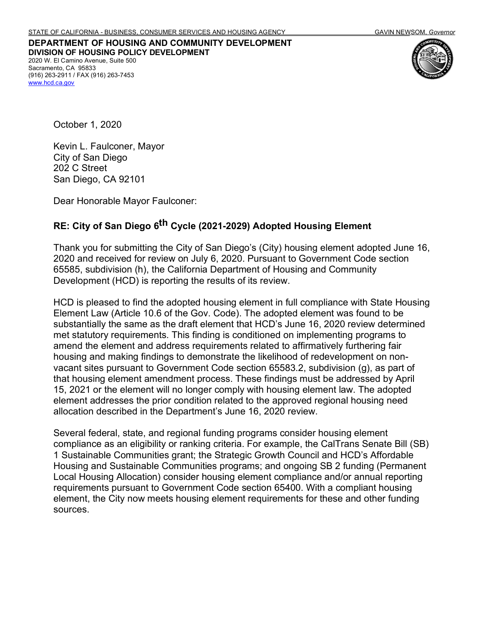## **DEPARTMENT OF HOUSING AND COMMUNITY DEVELOPMENT DIVISION OF HOUSING POLICY DEVELOPMENT** 2020 W. El Camino Avenue, Suite 500 Sacramento, CA 95833 (916) 263-2911 / FAX (916) 263-7453 [www.hcd.ca.gov](http://www.hcd.ca.gov/)



October 1, 2020

Kevin L. Faulconer, Mayor City of San Diego 202 C Street San Diego, CA 92101

Dear Honorable Mayor Faulconer:

## **RE: City of San Diego 6th Cycle (2021-2029) Adopted Housing Element**

Thank you for submitting the City of San Diego's (City) housing element adopted June 16, 2020 and received for review on July 6, 2020. Pursuant to Government Code section 65585, subdivision (h), the California Department of Housing and Community Development (HCD) is reporting the results of its review.

HCD is pleased to find the adopted housing element in full compliance with State Housing Element Law (Article 10.6 of the Gov. Code). The adopted element was found to be substantially the same as the draft element that HCD's June 16, 2020 review determined met statutory requirements. This finding is conditioned on implementing programs to amend the element and address requirements related to affirmatively furthering fair housing and making findings to demonstrate the likelihood of redevelopment on nonvacant sites pursuant to Government Code section 65583.2, subdivision (g), as part of that housing element amendment process. These findings must be addressed by April 15, 2021 or the element will no longer comply with housing element law. The adopted element addresses the prior condition related to the approved regional housing need allocation described in the Department's June 16, 2020 review.

Several federal, state, and regional funding programs consider housing element compliance as an eligibility or ranking criteria. For example, the CalTrans Senate Bill (SB) 1 Sustainable Communities grant; the Strategic Growth Council and HCD's Affordable Housing and Sustainable Communities programs; and ongoing SB 2 funding (Permanent Local Housing Allocation) consider housing element compliance and/or annual reporting requirements pursuant to Government Code section 65400. With a compliant housing element, the City now meets housing element requirements for these and other funding sources.